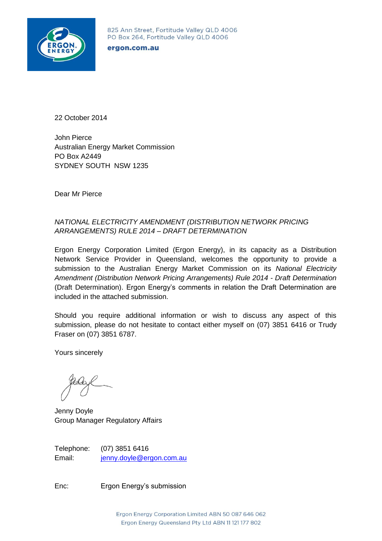

825 Ann Street, Fortitude Valley QLD 4006 PO Box 264, Fortitude Valley QLD 4006

#### ergon.com.au

22 October 2014

John Pierce Australian Energy Market Commission PO Box A2449 SYDNEY SOUTH NSW 1235

Dear Mr Pierce

### *NATIONAL ELECTRICITY AMENDMENT (DISTRIBUTION NETWORK PRICING ARRANGEMENTS) RULE 2014 – DRAFT DETERMINATION*

Ergon Energy Corporation Limited (Ergon Energy), in its capacity as a Distribution Network Service Provider in Queensland, welcomes the opportunity to provide a submission to the Australian Energy Market Commission on its *National Electricity Amendment (Distribution Network Pricing Arrangements) Rule 2014 - Draft Determination* (Draft Determination). Ergon Energy's comments in relation the Draft Determination are included in the attached submission.

Should you require additional information or wish to discuss any aspect of this submission, please do not hesitate to contact either myself on (07) 3851 6416 or Trudy Fraser on (07) 3851 6787.

Yours sincerely

Jenny Doyle Group Manager Regulatory Affairs

Telephone: (07) 3851 6416 Email: [jenny.doyle@ergon.com.au](mailto:jenny.doyle@ergon.com.au)

Enc: Ergon Energy's submission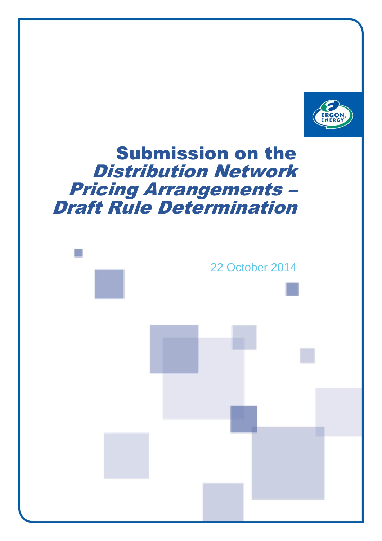

# Submission on the Distribution Network Pricing Arrangements – Draft Rule Determination

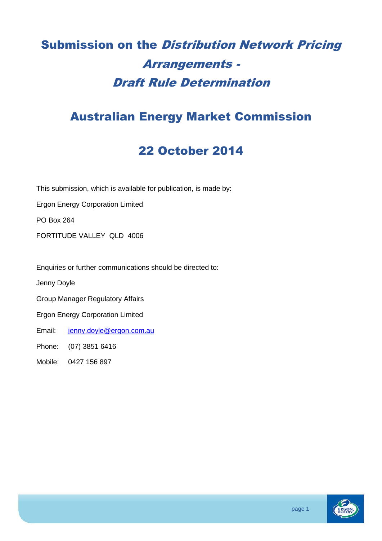# Submission on the Distribution Network Pricing Arrangements - Draft Rule Determination

# Australian Energy Market Commission

# 22 October 2014

This submission, which is available for publication, is made by:

Ergon Energy Corporation Limited

PO Box 264

FORTITUDE VALLEY QLD 4006

Enquiries or further communications should be directed to:

Jenny Doyle

Group Manager Regulatory Affairs

Ergon Energy Corporation Limited

Email: [jenny.doyle@ergon.com.au](mailto:jenny.doyle@ergon.com.au)

Phone: (07) 3851 6416

Mobile: 0427 156 897

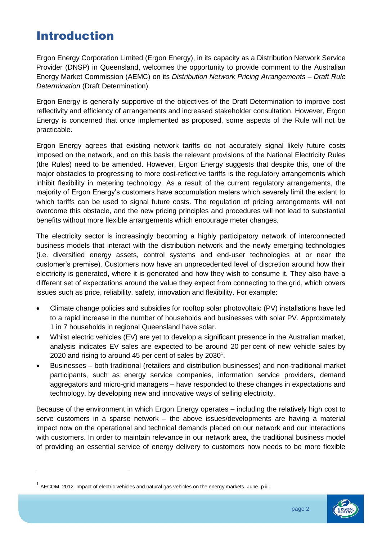# Introduction

Ergon Energy Corporation Limited (Ergon Energy), in its capacity as a Distribution Network Service Provider (DNSP) in Queensland, welcomes the opportunity to provide comment to the Australian Energy Market Commission (AEMC) on its *Distribution Network Pricing Arrangements – Draft Rule Determination* (Draft Determination).

Ergon Energy is generally supportive of the objectives of the Draft Determination to improve cost reflectivity and efficiency of arrangements and increased stakeholder consultation. However, Ergon Energy is concerned that once implemented as proposed, some aspects of the Rule will not be practicable.

Ergon Energy agrees that existing network tariffs do not accurately signal likely future costs imposed on the network, and on this basis the relevant provisions of the National Electricity Rules (the Rules) need to be amended. However, Ergon Energy suggests that despite this, one of the major obstacles to progressing to more cost-reflective tariffs is the regulatory arrangements which inhibit flexibility in metering technology. As a result of the current regulatory arrangements, the majority of Ergon Energy's customers have accumulation meters which severely limit the extent to which tariffs can be used to signal future costs. The regulation of pricing arrangements will not overcome this obstacle, and the new pricing principles and procedures will not lead to substantial benefits without more flexible arrangements which encourage meter changes.

The electricity sector is increasingly becoming a highly participatory network of interconnected business models that interact with the distribution network and the newly emerging technologies (i.e. diversified energy assets, control systems and end-user technologies at or near the customer's premise). Customers now have an unprecedented level of discretion around how their electricity is generated, where it is generated and how they wish to consume it. They also have a different set of expectations around the value they expect from connecting to the grid, which covers issues such as price, reliability, safety, innovation and flexibility. For example:

- Climate change policies and subsidies for rooftop solar photovoltaic (PV) installations have led to a rapid increase in the number of households and businesses with solar PV. Approximately 1 in 7 households in regional Queensland have solar.
- Whilst electric vehicles (EV) are yet to develop a significant presence in the Australian market, analysis indicates EV sales are expected to be around 20 per cent of new vehicle sales by 2020 and rising to around 45 per cent of sales by 2030<sup>1</sup>.
- Businesses both traditional (retailers and distribution businesses) and non-traditional market participants, such as energy service companies, information service providers, demand aggregators and micro-grid managers – have responded to these changes in expectations and technology, by developing new and innovative ways of selling electricity.

Because of the environment in which Ergon Energy operates – including the relatively high cost to serve customers in a sparse network – the above issues/developments are having a material impact now on the operational and technical demands placed on our network and our interactions with customers. In order to maintain relevance in our network area, the traditional business model of providing an essential service of energy delivery to customers now needs to be more flexible

-



 $1$  AECOM. 2012. Impact of electric vehicles and natural gas vehicles on the energy markets. June. p iii.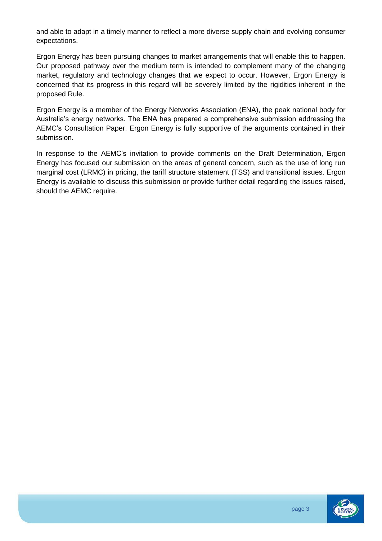and able to adapt in a timely manner to reflect a more diverse supply chain and evolving consumer expectations.

Ergon Energy has been pursuing changes to market arrangements that will enable this to happen. Our proposed pathway over the medium term is intended to complement many of the changing market, regulatory and technology changes that we expect to occur. However, Ergon Energy is concerned that its progress in this regard will be severely limited by the rigidities inherent in the proposed Rule.

Ergon Energy is a member of the Energy Networks Association (ENA), the peak national body for Australia's energy networks. The ENA has prepared a comprehensive submission addressing the AEMC's Consultation Paper. Ergon Energy is fully supportive of the arguments contained in their submission.

In response to the AEMC's invitation to provide comments on the Draft Determination, Ergon Energy has focused our submission on the areas of general concern, such as the use of long run marginal cost (LRMC) in pricing, the tariff structure statement (TSS) and transitional issues. Ergon Energy is available to discuss this submission or provide further detail regarding the issues raised, should the AEMC require.

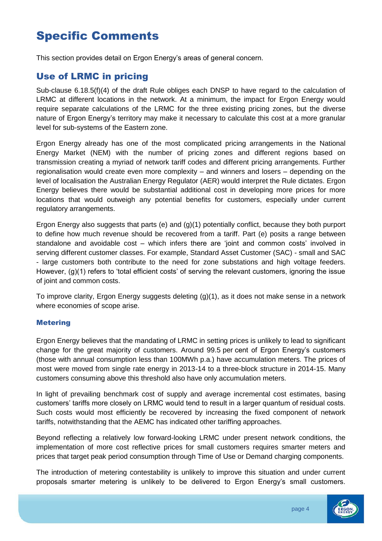# Specific Comments

This section provides detail on Ergon Energy's areas of general concern.

## Use of LRMC in pricing

Sub-clause 6.18.5(f)(4) of the draft Rule obliges each DNSP to have regard to the calculation of LRMC at different locations in the network. At a minimum, the impact for Ergon Energy would require separate calculations of the LRMC for the three existing pricing zones, but the diverse nature of Ergon Energy's territory may make it necessary to calculate this cost at a more granular level for sub-systems of the Eastern zone.

Ergon Energy already has one of the most complicated pricing arrangements in the National Energy Market (NEM) with the number of pricing zones and different regions based on transmission creating a myriad of network tariff codes and different pricing arrangements. Further regionalisation would create even more complexity – and winners and losers – depending on the level of localisation the Australian Energy Regulator (AER) would interpret the Rule dictates. Ergon Energy believes there would be substantial additional cost in developing more prices for more locations that would outweigh any potential benefits for customers, especially under current regulatory arrangements.

Ergon Energy also suggests that parts (e) and (g)(1) potentially conflict, because they both purport to define how much revenue should be recovered from a tariff. Part (e) posits a range between standalone and avoidable cost – which infers there are 'joint and common costs' involved in serving different customer classes. For example, Standard Asset Customer (SAC) - small and SAC - large customers both contribute to the need for zone substations and high voltage feeders. However, (g)(1) refers to 'total efficient costs' of serving the relevant customers, ignoring the issue of joint and common costs.

To improve clarity, Ergon Energy suggests deleting (g)(1), as it does not make sense in a network where economies of scope arise.

#### Metering

Ergon Energy believes that the mandating of LRMC in setting prices is unlikely to lead to significant change for the great majority of customers. Around 99.5 per cent of Ergon Energy's customers (those with annual consumption less than 100MWh p.a.) have accumulation meters. The prices of most were moved from single rate energy in 2013-14 to a three-block structure in 2014-15. Many customers consuming above this threshold also have only accumulation meters.

In light of prevailing benchmark cost of supply and average incremental cost estimates, basing customers' tariffs more closely on LRMC would tend to result in a larger quantum of residual costs. Such costs would most efficiently be recovered by increasing the fixed component of network tariffs, notwithstanding that the AEMC has indicated other tariffing approaches.

Beyond reflecting a relatively low forward-looking LRMC under present network conditions, the implementation of more cost reflective prices for small customers requires smarter meters and prices that target peak period consumption through Time of Use or Demand charging components.

The introduction of metering contestability is unlikely to improve this situation and under current proposals smarter metering is unlikely to be delivered to Ergon Energy's small customers.

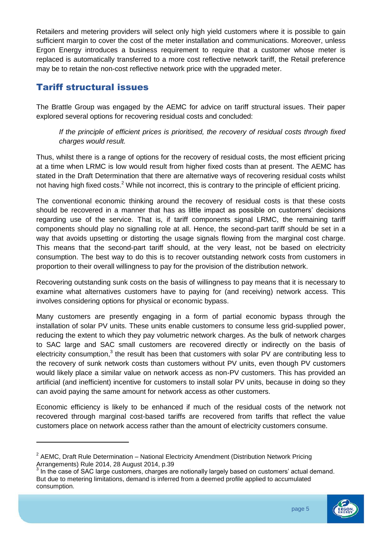Retailers and metering providers will select only high yield customers where it is possible to gain sufficient margin to cover the cost of the meter installation and communications. Moreover, unless Ergon Energy introduces a business requirement to require that a customer whose meter is replaced is automatically transferred to a more cost reflective network tariff, the Retail preference may be to retain the non-cost reflective network price with the upgraded meter.

## Tariff structural issues

-

The Brattle Group was engaged by the AEMC for advice on tariff structural issues. Their paper explored several options for recovering residual costs and concluded:

*If the principle of efficient prices is prioritised, the recovery of residual costs through fixed charges would result.*

Thus, whilst there is a range of options for the recovery of residual costs, the most efficient pricing at a time when LRMC is low would result from higher fixed costs than at present. The AEMC has stated in the Draft Determination that there are alternative ways of recovering residual costs whilst not having high fixed costs.<sup>2</sup> While not incorrect, this is contrary to the principle of efficient pricing.

The conventional economic thinking around the recovery of residual costs is that these costs should be recovered in a manner that has as little impact as possible on customers' decisions regarding use of the service. That is, if tariff components signal LRMC, the remaining tariff components should play no signalling role at all. Hence, the second-part tariff should be set in a way that avoids upsetting or distorting the usage signals flowing from the marginal cost charge. This means that the second-part tariff should, at the very least, not be based on electricity consumption. The best way to do this is to recover outstanding network costs from customers in proportion to their overall willingness to pay for the provision of the distribution network.

Recovering outstanding sunk costs on the basis of willingness to pay means that it is necessary to examine what alternatives customers have to paying for (and receiving) network access. This involves considering options for physical or economic bypass.

Many customers are presently engaging in a form of partial economic bypass through the installation of solar PV units. These units enable customers to consume less grid-supplied power, reducing the extent to which they pay volumetric network charges. As the bulk of network charges to SAC large and SAC small customers are recovered directly or indirectly on the basis of electricity consumption, $3$  the result has been that customers with solar PV are contributing less to the recovery of sunk network costs than customers without PV units, even though PV customers would likely place a similar value on network access as non-PV customers. This has provided an artificial (and inefficient) incentive for customers to install solar PV units, because in doing so they can avoid paying the same amount for network access as other customers.

Economic efficiency is likely to be enhanced if much of the residual costs of the network not recovered through marginal cost-based tariffs are recovered from tariffs that reflect the value customers place on network access rather than the amount of electricity customers consume.

<sup>&</sup>lt;sup>3</sup> In the case of SAC large customers, charges are notionally largely based on customers' actual demand. But due to metering limitations, demand is inferred from a deemed profile applied to accumulated consumption.





<sup>&</sup>lt;sup>2</sup> AEMC, Draft Rule Determination – National Electricity Amendment (Distribution Network Pricing Arrangements) Rule 2014, 28 August 2014, p.39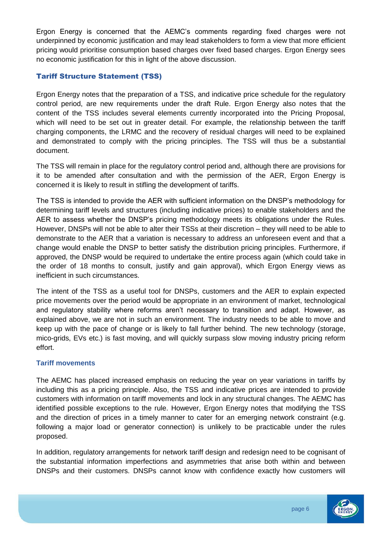Ergon Energy is concerned that the AEMC's comments regarding fixed charges were not underpinned by economic justification and may lead stakeholders to form a view that more efficient pricing would prioritise consumption based charges over fixed based charges. Ergon Energy sees no economic justification for this in light of the above discussion.

### Tariff Structure Statement (TSS)

Ergon Energy notes that the preparation of a TSS, and indicative price schedule for the regulatory control period, are new requirements under the draft Rule. Ergon Energy also notes that the content of the TSS includes several elements currently incorporated into the Pricing Proposal, which will need to be set out in greater detail. For example, the relationship between the tariff charging components, the LRMC and the recovery of residual charges will need to be explained and demonstrated to comply with the pricing principles. The TSS will thus be a substantial document.

The TSS will remain in place for the regulatory control period and, although there are provisions for it to be amended after consultation and with the permission of the AER, Ergon Energy is concerned it is likely to result in stifling the development of tariffs.

The TSS is intended to provide the AER with sufficient information on the DNSP's methodology for determining tariff levels and structures (including indicative prices) to enable stakeholders and the AER to assess whether the DNSP's pricing methodology meets its obligations under the Rules. However, DNSPs will not be able to alter their TSSs at their discretion – they will need to be able to demonstrate to the AER that a variation is necessary to address an unforeseen event and that a change would enable the DNSP to better satisfy the distribution pricing principles. Furthermore, if approved, the DNSP would be required to undertake the entire process again (which could take in the order of 18 months to consult, justify and gain approval), which Ergon Energy views as inefficient in such circumstances.

The intent of the TSS as a useful tool for DNSPs, customers and the AER to explain expected price movements over the period would be appropriate in an environment of market, technological and regulatory stability where reforms aren't necessary to transition and adapt. However, as explained above, we are not in such an environment. The industry needs to be able to move and keep up with the pace of change or is likely to fall further behind. The new technology (storage, mico-grids, EVs etc.) is fast moving, and will quickly surpass slow moving industry pricing reform effort.

### **Tariff movements**

The AEMC has placed increased emphasis on reducing the year on year variations in tariffs by including this as a pricing principle. Also, the TSS and indicative prices are intended to provide customers with information on tariff movements and lock in any structural changes. The AEMC has identified possible exceptions to the rule. However, Ergon Energy notes that modifying the TSS and the direction of prices in a timely manner to cater for an emerging network constraint (e.g. following a major load or generator connection) is unlikely to be practicable under the rules proposed.

In addition, regulatory arrangements for network tariff design and redesign need to be cognisant of the substantial information imperfections and asymmetries that arise both within and between DNSPs and their customers. DNSPs cannot know with confidence exactly how customers will

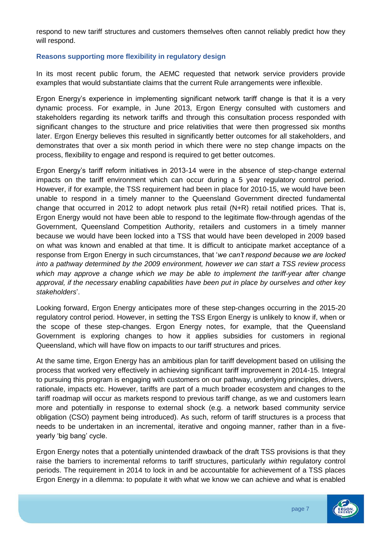respond to new tariff structures and customers themselves often cannot reliably predict how they will respond.

#### **Reasons supporting more flexibility in regulatory design**

In its most recent public forum, the AEMC requested that network service providers provide examples that would substantiate claims that the current Rule arrangements were inflexible.

Ergon Energy's experience in implementing significant network tariff change is that it is a very dynamic process. For example, in June 2013, Ergon Energy consulted with customers and stakeholders regarding its network tariffs and through this consultation process responded with significant changes to the structure and price relativities that were then progressed six months later. Ergon Energy believes this resulted in significantly better outcomes for all stakeholders, and demonstrates that over a six month period in which there were no step change impacts on the process, flexibility to engage and respond is required to get better outcomes.

Ergon Energy's tariff reform initiatives in 2013-14 were in the absence of step-change external impacts on the tariff environment which can occur during a 5 year regulatory control period. However, if for example, the TSS requirement had been in place for 2010-15, we would have been unable to respond in a timely manner to the Queensland Government directed fundamental change that occurred in 2012 to adopt network plus retail (N+R) retail notified prices. That is, Ergon Energy would not have been able to respond to the legitimate flow-through agendas of the Government, Queensland Competition Authority, retailers and customers in a timely manner because we would have been locked into a TSS that would have been developed in 2009 based on what was known and enabled at that time. It is difficult to anticipate market acceptance of a response from Ergon Energy in such circumstances, that '*we can't respond because we are locked into a pathway determined by the 2009 environment, however we can start a TSS review process*  which may approve a change which we may be able to implement the tariff-year after change *approval, if the necessary enabling capabilities have been put in place by ourselves and other key stakeholders*'.

Looking forward, Ergon Energy anticipates more of these step-changes occurring in the 2015-20 regulatory control period. However, in setting the TSS Ergon Energy is unlikely to know if, when or the scope of these step-changes. Ergon Energy notes, for example, that the Queensland Government is exploring changes to how it applies subsidies for customers in regional Queensland, which will have flow on impacts to our tariff structures and prices.

At the same time, Ergon Energy has an ambitious plan for tariff development based on utilising the process that worked very effectively in achieving significant tariff improvement in 2014-15. Integral to pursuing this program is engaging with customers on our pathway, underlying principles, drivers, rationale, impacts etc. However, tariffs are part of a much broader ecosystem and changes to the tariff roadmap will occur as markets respond to previous tariff change, as we and customers learn more and potentially in response to external shock (e.g. a network based community service obligation (CSO) payment being introduced). As such, reform of tariff structures is a process that needs to be undertaken in an incremental, iterative and ongoing manner, rather than in a fiveyearly 'big bang' cycle.

Ergon Energy notes that a potentially unintended drawback of the draft TSS provisions is that they raise the barriers to incremental reforms to tariff structures, particularly *within* regulatory control periods. The requirement in 2014 to lock in and be accountable for achievement of a TSS places Ergon Energy in a dilemma: to populate it with what we know we can achieve and what is enabled

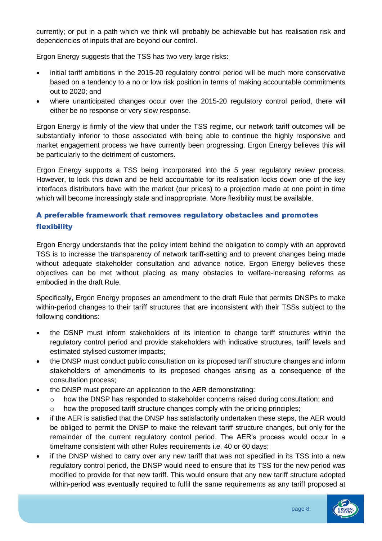currently; or put in a path which we think will probably be achievable but has realisation risk and dependencies of inputs that are beyond our control.

Ergon Energy suggests that the TSS has two very large risks:

- initial tariff ambitions in the 2015-20 regulatory control period will be much more conservative based on a tendency to a no or low risk position in terms of making accountable commitments out to 2020; and
- where unanticipated changes occur over the 2015-20 regulatory control period, there will either be no response or very slow response.

Ergon Energy is firmly of the view that under the TSS regime, our network tariff outcomes will be substantially inferior to those associated with being able to continue the highly responsive and market engagement process we have currently been progressing. Ergon Energy believes this will be particularly to the detriment of customers.

Ergon Energy supports a TSS being incorporated into the 5 year regulatory review process. However, to lock this down and be held accountable for its realisation locks down one of the key interfaces distributors have with the market (our prices) to a projection made at one point in time which will become increasingly stale and inappropriate. More flexibility must be available.

## A preferable framework that removes regulatory obstacles and promotes flexibility

Ergon Energy understands that the policy intent behind the obligation to comply with an approved TSS is to increase the transparency of network tariff-setting and to prevent changes being made without adequate stakeholder consultation and advance notice. Ergon Energy believes these objectives can be met without placing as many obstacles to welfare-increasing reforms as embodied in the draft Rule.

Specifically, Ergon Energy proposes an amendment to the draft Rule that permits DNSPs to make within-period changes to their tariff structures that are inconsistent with their TSSs subject to the following conditions:

- the DSNP must inform stakeholders of its intention to change tariff structures within the regulatory control period and provide stakeholders with indicative structures, tariff levels and estimated stylised customer impacts;
- the DNSP must conduct public consultation on its proposed tariff structure changes and inform stakeholders of amendments to its proposed changes arising as a consequence of the consultation process;
- the DNSP must prepare an application to the AER demonstrating:
	- o how the DNSP has responded to stakeholder concerns raised during consultation; and o how the proposed tariff structure changes comply with the pricing principles;
- if the AER is satisfied that the DNSP has satisfactorily undertaken these steps, the AER would be obliged to permit the DNSP to make the relevant tariff structure changes, but only for the remainder of the current regulatory control period. The AER's process would occur in a timeframe consistent with other Rules requirements i.e. 40 or 60 days;
- if the DNSP wished to carry over any new tariff that was not specified in its TSS into a new regulatory control period, the DNSP would need to ensure that its TSS for the new period was modified to provide for that new tariff. This would ensure that any new tariff structure adopted within-period was eventually required to fulfil the same requirements as any tariff proposed at